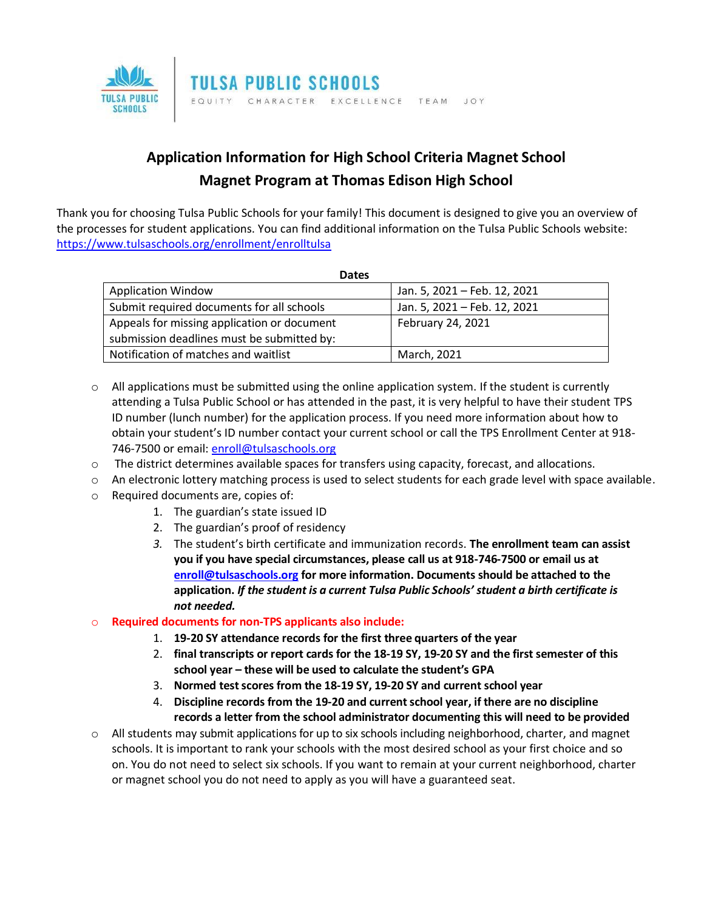

## **Application Information for High School Criteria Magnet School Magnet Program at Thomas Edison High School**

Thank you for choosing Tulsa Public Schools for your family! This document is designed to give you an overview of the processes for student applications. You can find additional information on the Tulsa Public Schools website: <https://www.tulsaschools.org/enrollment/enrolltulsa>

| <b>Dates</b>                                |                              |
|---------------------------------------------|------------------------------|
| <b>Application Window</b>                   | Jan. 5, 2021 - Feb. 12, 2021 |
| Submit required documents for all schools   | Jan. 5, 2021 - Feb. 12, 2021 |
| Appeals for missing application or document | February 24, 2021            |
| submission deadlines must be submitted by:  |                              |
| Notification of matches and waitlist        | March, 2021                  |

- $\circ$  All applications must be submitted using the online application system. If the student is currently attending a Tulsa Public School or has attended in the past, it is very helpful to have their student TPS ID number (lunch number) for the application process. If you need more information about how to obtain your student's ID number contact your current school or call the TPS Enrollment Center at 918 746-7500 or email: [enroll@tulsaschools.org](mailto:enroll@tulsaschools.org)
- $\circ$  The district determines available spaces for transfers using capacity, forecast, and allocations.
- $\circ$  An electronic lottery matching process is used to select students for each grade level with space available.
- o Required documents are, copies of:
	- 1. The guardian's state issued ID
	- 2. The guardian's proof of residency
	- *3.* The student's birth certificate and immunization records. **The enrollment team can assist you if you have special circumstances, please call us at 918-746-7500 or email us at [enroll@tulsaschools.org](mailto:enroll@tulsaschools.org) for more information. Documents should be attached to the application.** *If the student is a current Tulsa Public Schools' student a birth certificate is not needed.*

## o **Required documents for non-TPS applicants also include:**

- 1. **19-20 SY attendance records for the first three quarters of the year**
- 2. **final transcripts or report cards for the 18-19 SY, 19-20 SY and the first semester of this school year – these will be used to calculate the student's GPA**
- 3. **Normed test scores from the 18-19 SY, 19-20 SY and current school year**
- 4. **Discipline records from the 19-20 and current school year, if there are no discipline records a letter from the school administrator documenting this will need to be provided**
- o All students may submit applications for up to six schools including neighborhood, charter, and magnet schools. It is important to rank your schools with the most desired school as your first choice and so on. You do not need to select six schools. If you want to remain at your current neighborhood, charter or magnet school you do not need to apply as you will have a guaranteed seat.